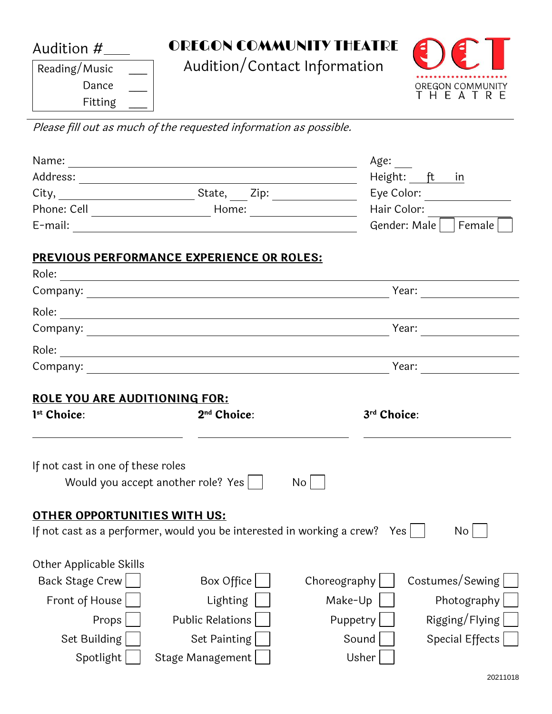Audition #

OREGON COMMUNITY THEATRE

Audition/Contact Information



Reading/Music Dance Fitting \_\_\_

Please fill out as much of the requested information as possible.

|                                                              |                                                                                        | Age:                           |                              |  |
|--------------------------------------------------------------|----------------------------------------------------------------------------------------|--------------------------------|------------------------------|--|
|                                                              |                                                                                        |                                | Height: ft in                |  |
|                                                              |                                                                                        |                                | Eye Color:                   |  |
|                                                              |                                                                                        | Hair Color:                    |                              |  |
|                                                              |                                                                                        |                                | Gender: Male     Female      |  |
|                                                              | <b>PREVIOUS PERFORMANCE EXPERIENCE OR ROLES:</b>                                       |                                |                              |  |
|                                                              |                                                                                        |                                |                              |  |
| Year:                                                        |                                                                                        |                                |                              |  |
|                                                              |                                                                                        |                                |                              |  |
|                                                              |                                                                                        |                                | Year: $\qquad \qquad$        |  |
|                                                              |                                                                                        |                                |                              |  |
|                                                              |                                                                                        |                                | Year: $\qquad \qquad \qquad$ |  |
| 1 <sup>st</sup> Choice:<br>If not cast in one of these roles | 2 <sup>nd</sup> Choice:<br>Would you accept another role? Yes                          | 3rd Choice:<br>No <sub>1</sub> |                              |  |
| <b>OTHER OPPORTUNITIES WITH US:</b>                          | If not cast as a performer, would you be interested in working a crew? Yes $  \quad  $ |                                | No.                          |  |
| Other Applicable Skills                                      |                                                                                        |                                |                              |  |
| Back Stage Crew                                              | Box Office                                                                             | Choreography                   | Costumes/Sewing              |  |
| Front of House                                               | Lighting                                                                               | Make-Up                        | Photography                  |  |
| Props                                                        | <b>Public Relations</b>                                                                | Puppetry                       | Rigging/Flying               |  |
| Set Building                                                 | Set Painting                                                                           | Sound                          | Special Effects              |  |
| Spotlight                                                    | Stage Management                                                                       | Usher                          |                              |  |